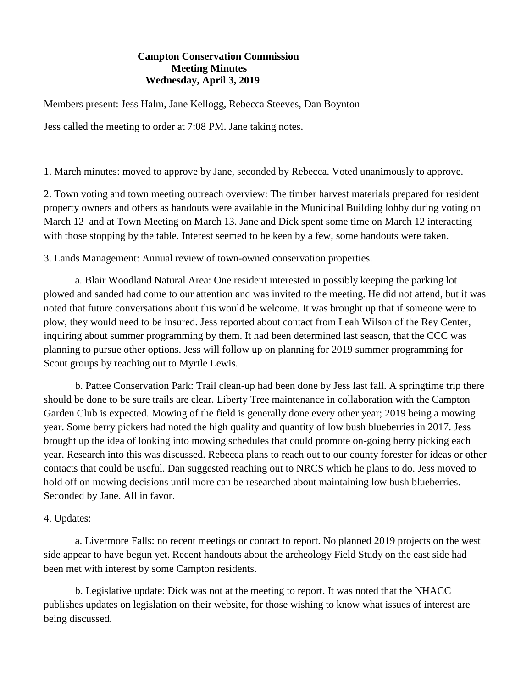## **Campton Conservation Commission Meeting Minutes Wednesday, April 3, 2019**

Members present: Jess Halm, Jane Kellogg, Rebecca Steeves, Dan Boynton

Jess called the meeting to order at 7:08 PM. Jane taking notes.

1. March minutes: moved to approve by Jane, seconded by Rebecca. Voted unanimously to approve.

2. Town voting and town meeting outreach overview: The timber harvest materials prepared for resident property owners and others as handouts were available in the Municipal Building lobby during voting on March 12 and at Town Meeting on March 13. Jane and Dick spent some time on March 12 interacting with those stopping by the table. Interest seemed to be keen by a few, some handouts were taken.

3. Lands Management: Annual review of town-owned conservation properties.

a. Blair Woodland Natural Area: One resident interested in possibly keeping the parking lot plowed and sanded had come to our attention and was invited to the meeting. He did not attend, but it was noted that future conversations about this would be welcome. It was brought up that if someone were to plow, they would need to be insured. Jess reported about contact from Leah Wilson of the Rey Center, inquiring about summer programming by them. It had been determined last season, that the CCC was planning to pursue other options. Jess will follow up on planning for 2019 summer programming for Scout groups by reaching out to Myrtle Lewis.

b. Pattee Conservation Park: Trail clean-up had been done by Jess last fall. A springtime trip there should be done to be sure trails are clear. Liberty Tree maintenance in collaboration with the Campton Garden Club is expected. Mowing of the field is generally done every other year; 2019 being a mowing year. Some berry pickers had noted the high quality and quantity of low bush blueberries in 2017. Jess brought up the idea of looking into mowing schedules that could promote on-going berry picking each year. Research into this was discussed. Rebecca plans to reach out to our county forester for ideas or other contacts that could be useful. Dan suggested reaching out to NRCS which he plans to do. Jess moved to hold off on mowing decisions until more can be researched about maintaining low bush blueberries. Seconded by Jane. All in favor.

## 4. Updates:

a. Livermore Falls: no recent meetings or contact to report. No planned 2019 projects on the west side appear to have begun yet. Recent handouts about the archeology Field Study on the east side had been met with interest by some Campton residents.

b. Legislative update: Dick was not at the meeting to report. It was noted that the NHACC publishes updates on legislation on their website, for those wishing to know what issues of interest are being discussed.